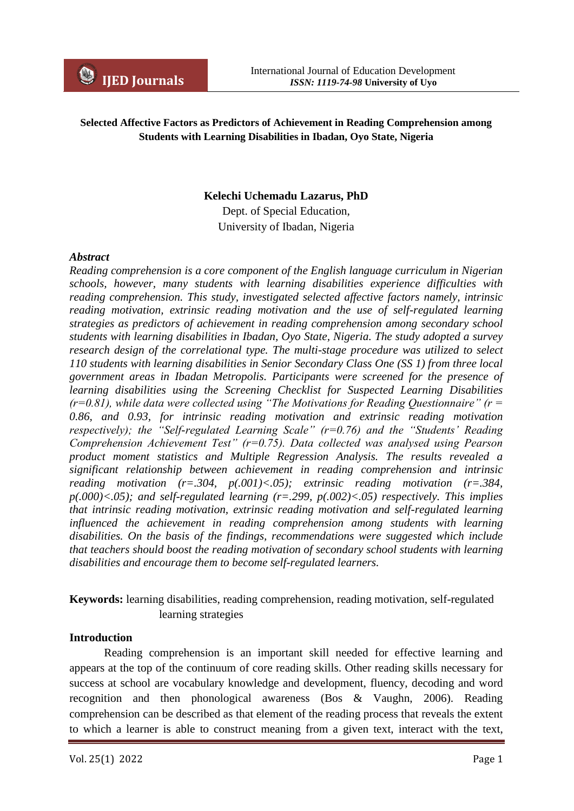### **Selected Affective Factors as Predictors of Achievement in Reading Comprehension among Students with Learning Disabilities in Ibadan, Oyo State, Nigeria**

### **Kelechi Uchemadu Lazarus, PhD**

Dept. of Special Education, University of Ibadan, Nigeria

#### *Abstract*

*Reading comprehension is a core component of the English language curriculum in Nigerian schools, however, many students with learning disabilities experience difficulties with reading comprehension. This study, investigated selected affective factors namely, intrinsic reading motivation, extrinsic reading motivation and the use of self-regulated learning strategies as predictors of achievement in reading comprehension among secondary school students with learning disabilities in Ibadan, Oyo State, Nigeria. The study adopted a survey research design of the correlational type. The multi-stage procedure was utilized to select 110 students with learning disabilities in Senior Secondary Class One (SS 1) from three local government areas in Ibadan Metropolis. Participants were screened for the presence of learning disabilities using the Screening Checklist for Suspected Learning Disabilities (r=0.81), while data were collected using "The Motivations for Reading Questionnaire" (r = 0.86, and 0.93, for intrinsic reading motivation and extrinsic reading motivation respectively); the "Self-regulated Learning Scale" (r=0.76) and the "Students' Reading Comprehension Achievement Test" (r=0.75). Data collected was analysed using Pearson product moment statistics and Multiple Regression Analysis. The results revealed a significant relationship between achievement in reading comprehension and intrinsic reading motivation (r=.304, p(.001)<.05); extrinsic reading motivation (r=.384, p(.000)<.05); and self-regulated learning (r=.299, p(.002)<.05) respectively. This implies that intrinsic reading motivation, extrinsic reading motivation and self-regulated learning influenced the achievement in reading comprehension among students with learning disabilities. On the basis of the findings, recommendations were suggested which include that teachers should boost the reading motivation of secondary school students with learning disabilities and encourage them to become self-regulated learners.* 

## **Keywords:** learning disabilities, reading comprehension, reading motivation, self-regulated learning strategies

#### **Introduction**

Reading comprehension is an important skill needed for effective learning and appears at the top of the continuum of core reading skills. Other reading skills necessary for success at school are vocabulary knowledge and development, fluency, decoding and word recognition and then phonological awareness (Bos & Vaughn, 2006). Reading comprehension can be described as that element of the reading process that reveals the extent to which a learner is able to construct meaning from a given text, interact with the text,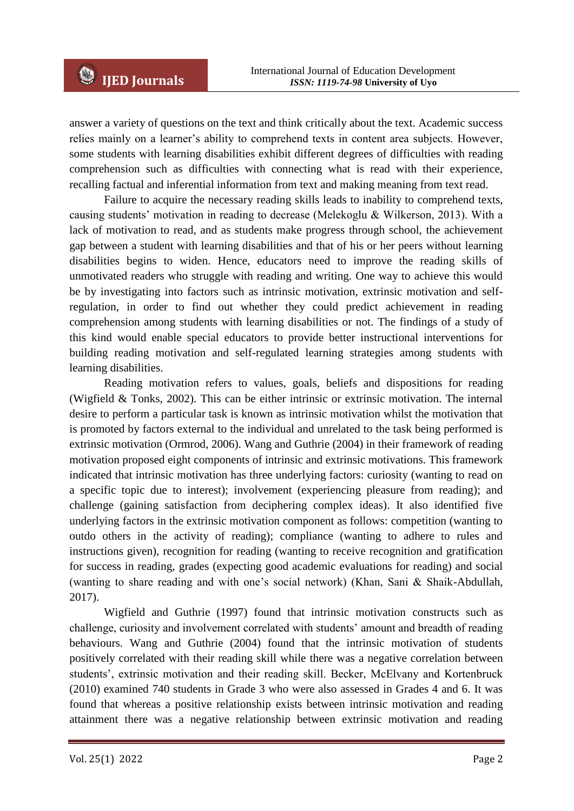answer a variety of questions on the text and think critically about the text. Academic success relies mainly on a learner's ability to comprehend texts in content area subjects. However, some students with learning disabilities exhibit different degrees of difficulties with reading comprehension such as difficulties with connecting what is read with their experience, recalling factual and inferential information from text and making meaning from text read.

Failure to acquire the necessary reading skills leads to inability to comprehend texts, causing students' motivation in reading to decrease (Melekoglu & Wilkerson, 2013). With a lack of motivation to read, and as students make progress through school, the achievement gap between a student with learning disabilities and that of his or her peers without learning disabilities begins to widen. Hence, educators need to improve the reading skills of unmotivated readers who struggle with reading and writing. One way to achieve this would be by investigating into factors such as intrinsic motivation, extrinsic motivation and selfregulation, in order to find out whether they could predict achievement in reading comprehension among students with learning disabilities or not. The findings of a study of this kind would enable special educators to provide better instructional interventions for building reading motivation and self-regulated learning strategies among students with learning disabilities.

Reading motivation refers to values, goals, beliefs and dispositions for reading (Wigfield & Tonks, 2002). This can be either intrinsic or extrinsic motivation. The internal desire to perform a particular task is known as intrinsic motivation whilst the motivation that is promoted by factors external to the individual and unrelated to the task being performed is extrinsic motivation (Ormrod, 2006). Wang and Guthrie (2004) in their framework of reading motivation proposed eight components of intrinsic and extrinsic motivations. This framework indicated that intrinsic motivation has three underlying factors: curiosity (wanting to read on a specific topic due to interest); involvement (experiencing pleasure from reading); and challenge (gaining satisfaction from deciphering complex ideas). It also identified five underlying factors in the extrinsic motivation component as follows: competition (wanting to outdo others in the activity of reading); compliance (wanting to adhere to rules and instructions given), recognition for reading (wanting to receive recognition and gratification for success in reading, grades (expecting good academic evaluations for reading) and social (wanting to share reading and with one's social network) (Khan, Sani & Shaik-Abdullah, 2017).

Wigfield and Guthrie (1997) found that intrinsic motivation constructs such as challenge, curiosity and involvement correlated with students' amount and breadth of reading behaviours. Wang and Guthrie (2004) found that the intrinsic motivation of students positively correlated with their reading skill while there was a negative correlation between students', extrinsic motivation and their reading skill. Becker, McElvany and Kortenbruck (2010) examined 740 students in Grade 3 who were also assessed in Grades 4 and 6. It was found that whereas a positive relationship exists between intrinsic motivation and reading attainment there was a negative relationship between extrinsic motivation and reading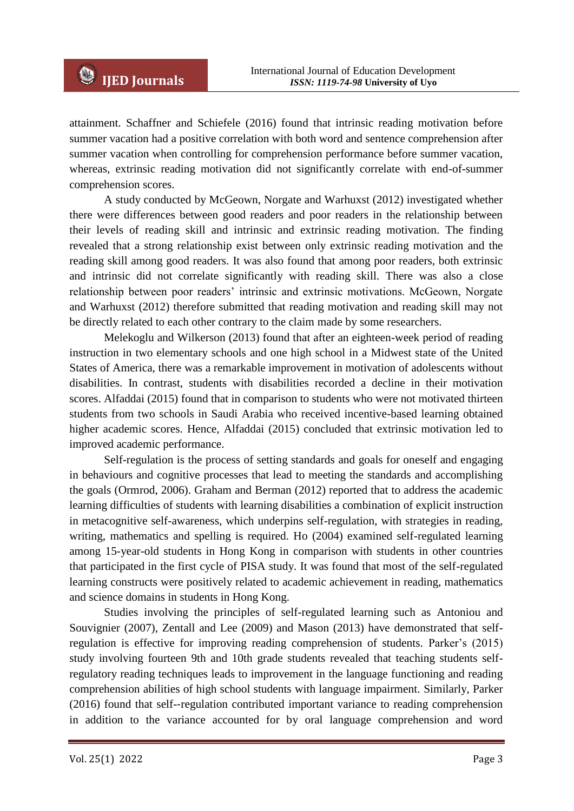attainment. Schaffner and Schiefele (2016) found that intrinsic reading motivation before summer vacation had a positive correlation with both word and sentence comprehension after summer vacation when controlling for comprehension performance before summer vacation, whereas, extrinsic reading motivation did not significantly correlate with end-of-summer comprehension scores.

A study conducted by McGeown, Norgate and Warhuxst (2012) investigated whether there were differences between good readers and poor readers in the relationship between their levels of reading skill and intrinsic and extrinsic reading motivation. The finding revealed that a strong relationship exist between only extrinsic reading motivation and the reading skill among good readers. It was also found that among poor readers, both extrinsic and intrinsic did not correlate significantly with reading skill. There was also a close relationship between poor readers' intrinsic and extrinsic motivations. McGeown, Norgate and Warhuxst (2012) therefore submitted that reading motivation and reading skill may not be directly related to each other contrary to the claim made by some researchers.

Melekoglu and Wilkerson (2013) found that after an eighteen-week period of reading instruction in two elementary schools and one high school in a Midwest state of the United States of America, there was a remarkable improvement in motivation of adolescents without disabilities. In contrast, students with disabilities recorded a decline in their motivation scores. Alfaddai (2015) found that in comparison to students who were not motivated thirteen students from two schools in Saudi Arabia who received incentive-based learning obtained higher academic scores. Hence, Alfaddai (2015) concluded that extrinsic motivation led to improved academic performance.

Self-regulation is the process of setting standards and goals for oneself and engaging in behaviours and cognitive processes that lead to meeting the standards and accomplishing the goals (Ormrod, 2006). Graham and Berman (2012) reported that to address the academic learning difficulties of students with learning disabilities a combination of explicit instruction in metacognitive self-awareness, which underpins self-regulation, with strategies in reading, writing, mathematics and spelling is required. Ho (2004) examined self-regulated learning among 15-year-old students in Hong Kong in comparison with students in other countries that participated in the first cycle of PISA study. It was found that most of the self-regulated learning constructs were positively related to academic achievement in reading, mathematics and science domains in students in Hong Kong.

Studies involving the principles of self-regulated learning such as Antoniou and Souvignier (2007), Zentall and Lee (2009) and Mason (2013) have demonstrated that selfregulation is effective for improving reading comprehension of students. Parker's (2015) study involving fourteen 9th and 10th grade students revealed that teaching students selfregulatory reading techniques leads to improvement in the language functioning and reading comprehension abilities of high school students with language impairment. Similarly, Parker (2016) found that self-‐regulation contributed important variance to reading comprehension in addition to the variance accounted for by oral language comprehension and word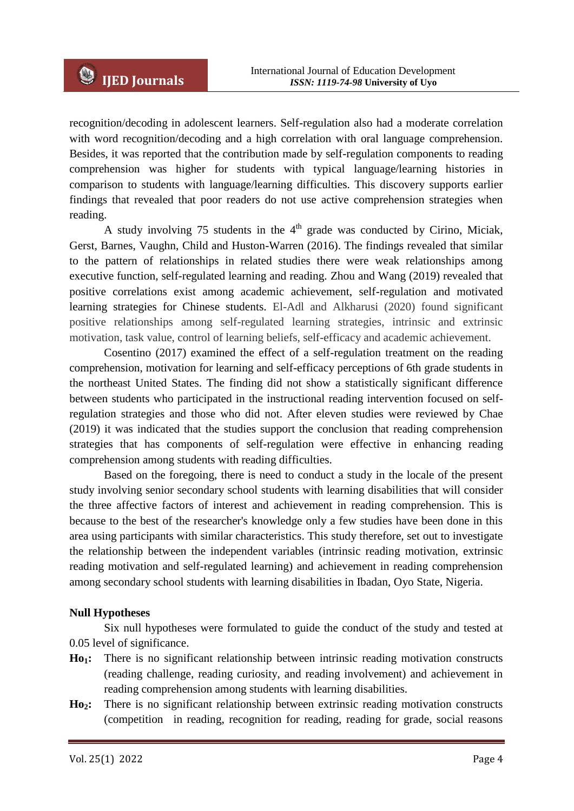recognition/decoding in adolescent learners. Self-regulation also had a moderate correlation with word recognition/decoding and a high correlation with oral language comprehension. Besides, it was reported that the contribution made by self-regulation components to reading comprehension was higher for students with typical language/learning histories in comparison to students with language/learning difficulties. This discovery supports earlier findings that revealed that poor readers do not use active comprehension strategies when reading.

A study involving 75 students in the  $4<sup>th</sup>$  grade was conducted by Cirino, Miciak, Gerst, Barnes, Vaughn, Child and Huston-Warren (2016). The findings revealed that similar to the pattern of relationships in related studies there were weak relationships among executive function, self-regulated learning and reading. Zhou and Wang (2019) revealed that positive correlations exist among academic achievement, self-regulation and motivated learning strategies for Chinese students. El-Adl and Alkharusi (2020) found significant positive relationships among self-regulated learning strategies, intrinsic and extrinsic motivation, task value, control of learning beliefs, self-efficacy and academic achievement.

Cosentino (2017) examined the effect of a self-regulation treatment on the reading comprehension, motivation for learning and self-efficacy perceptions of 6th grade students in the northeast United States. The finding did not show a statistically significant difference between students who participated in the instructional reading intervention focused on selfregulation strategies and those who did not. After eleven studies were reviewed by Chae (2019) it was indicated that the studies support the conclusion that reading comprehension strategies that has components of self-regulation were effective in enhancing reading comprehension among students with reading difficulties.

Based on the foregoing, there is need to conduct a study in the locale of the present study involving senior secondary school students with learning disabilities that will consider the three affective factors of interest and achievement in reading comprehension. This is because to the best of the researcher's knowledge only a few studies have been done in this area using participants with similar characteristics. This study therefore, set out to investigate the relationship between the independent variables (intrinsic reading motivation, extrinsic reading motivation and self-regulated learning) and achievement in reading comprehension among secondary school students with learning disabilities in Ibadan, Oyo State, Nigeria.

### **Null Hypotheses**

Six null hypotheses were formulated to guide the conduct of the study and tested at 0.05 level of significance.

- **Ho1:** There is no significant relationship between intrinsic reading motivation constructs (reading challenge, reading curiosity, and reading involvement) and achievement in reading comprehension among students with learning disabilities.
- **Ho2:** There is no significant relationship between extrinsic reading motivation constructs (competition in reading, recognition for reading, reading for grade, social reasons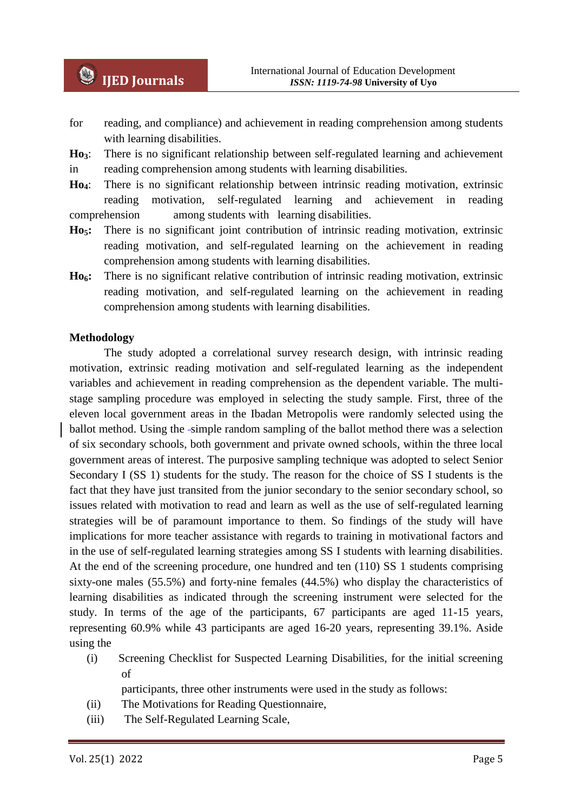- for reading, and compliance) and achievement in reading comprehension among students with learning disabilities.
- **Ho3**: There is no significant relationship between self-regulated learning and achievement in reading comprehension among students with learning disabilities.
- **Ho4**: There is no significant relationship between intrinsic reading motivation, extrinsic reading motivation, self-regulated learning and achievement in reading comprehension among students with learning disabilities.
- **Ho5:** There is no significant joint contribution of intrinsic reading motivation, extrinsic reading motivation, and self-regulated learning on the achievement in reading comprehension among students with learning disabilities.
- **Ho6:** There is no significant relative contribution of intrinsic reading motivation, extrinsic reading motivation, and self-regulated learning on the achievement in reading comprehension among students with learning disabilities.

#### **Methodology**

The study adopted a correlational survey research design, with intrinsic reading motivation, extrinsic reading motivation and self-regulated learning as the independent variables and achievement in reading comprehension as the dependent variable. The multistage sampling procedure was employed in selecting the study sample. First, three of the eleven local government areas in the Ibadan Metropolis were randomly selected using the ballot method. Using the -simple random sampling of the ballot method there was a selection of six secondary schools, both government and private owned schools, within the three local government areas of interest. The purposive sampling technique was adopted to select Senior Secondary I (SS 1) students for the study. The reason for the choice of SS I students is the fact that they have just transited from the junior secondary to the senior secondary school, so issues related with motivation to read and learn as well as the use of self-regulated learning strategies will be of paramount importance to them. So findings of the study will have implications for more teacher assistance with regards to training in motivational factors and in the use of self-regulated learning strategies among SS I students with learning disabilities. At the end of the screening procedure, one hundred and ten (110) SS 1 students comprising sixty-one males (55.5%) and forty-nine females (44.5%) who display the characteristics of learning disabilities as indicated through the screening instrument were selected for the study. In terms of the age of the participants, 67 participants are aged 11-15 years, representing 60.9% while 43 participants are aged 16-20 years, representing 39.1%. Aside using the

(i) Screening Checklist for Suspected Learning Disabilities, for the initial screening of

participants, three other instruments were used in the study as follows:

- (ii) The Motivations for Reading Questionnaire,
- (iii) The Self-Regulated Learning Scale,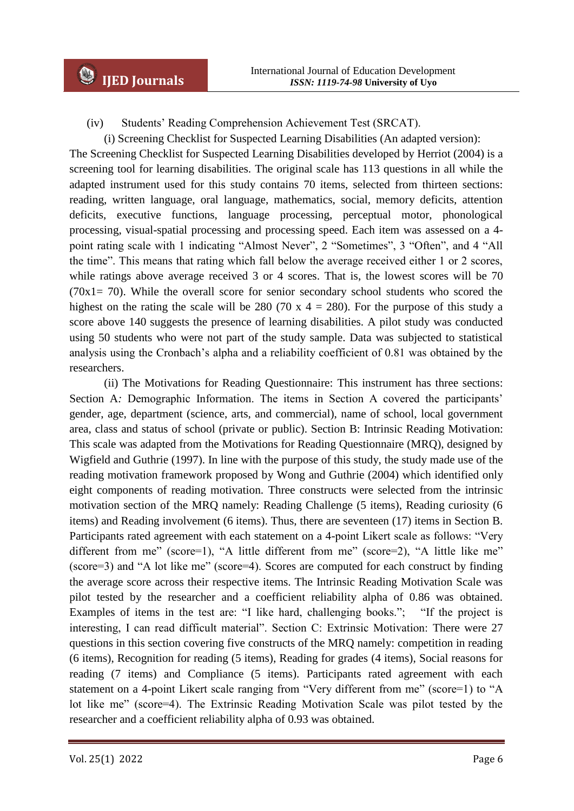(iv) Students' Reading Comprehension Achievement Test (SRCAT).

(i) Screening Checklist for Suspected Learning Disabilities (An adapted version):

The Screening Checklist for Suspected Learning Disabilities developed by Herriot (2004) is a screening tool for learning disabilities. The original scale has 113 questions in all while the adapted instrument used for this study contains 70 items, selected from thirteen sections: reading, written language, oral language, mathematics, social, memory deficits, attention deficits, executive functions, language processing, perceptual motor, phonological processing, visual-spatial processing and processing speed. Each item was assessed on a 4 point rating scale with 1 indicating "Almost Never", 2 "Sometimes", 3 "Often", and 4 "All the time". This means that rating which fall below the average received either 1 or 2 scores, while ratings above average received 3 or 4 scores. That is, the lowest scores will be 70  $(70x1= 70)$ . While the overall score for senior secondary school students who scored the highest on the rating the scale will be 280 (70 x  $4 = 280$ ). For the purpose of this study a score above 140 suggests the presence of learning disabilities. A pilot study was conducted using 50 students who were not part of the study sample. Data was subjected to statistical analysis using the Cronbach's alpha and a reliability coefficient of 0.81 was obtained by the researchers.

(ii) The Motivations for Reading Questionnaire: This instrument has three sections: Section A*:* Demographic Information. The items in Section A covered the participants' gender, age, department (science, arts, and commercial), name of school, local government area, class and status of school (private or public). Section B: Intrinsic Reading Motivation: This scale was adapted from the Motivations for Reading Questionnaire (MRQ), designed by Wigfield and Guthrie (1997). In line with the purpose of this study, the study made use of the reading motivation framework proposed by Wong and Guthrie (2004) which identified only eight components of reading motivation. Three constructs were selected from the intrinsic motivation section of the MRQ namely: Reading Challenge (5 items), Reading curiosity (6 items) and Reading involvement (6 items). Thus, there are seventeen (17) items in Section B. Participants rated agreement with each statement on a 4-point Likert scale as follows: "Very different from me" (score=1), "A little different from me" (score=2), "A little like me" (score=3) and "A lot like me" (score=4). Scores are computed for each construct by finding the average score across their respective items. The Intrinsic Reading Motivation Scale was pilot tested by the researcher and a coefficient reliability alpha of 0.86 was obtained. Examples of items in the test are: "I like hard, challenging books."; "If the project is interesting, I can read difficult material". Section C: Extrinsic Motivation: There were 27 questions in this section covering five constructs of the MRQ namely: competition in reading (6 items), Recognition for reading (5 items), Reading for grades (4 items), Social reasons for reading (7 items) and Compliance (5 items). Participants rated agreement with each statement on a 4-point Likert scale ranging from "Very different from me" (score=1) to "A lot like me" (score=4). The Extrinsic Reading Motivation Scale was pilot tested by the researcher and a coefficient reliability alpha of 0.93 was obtained.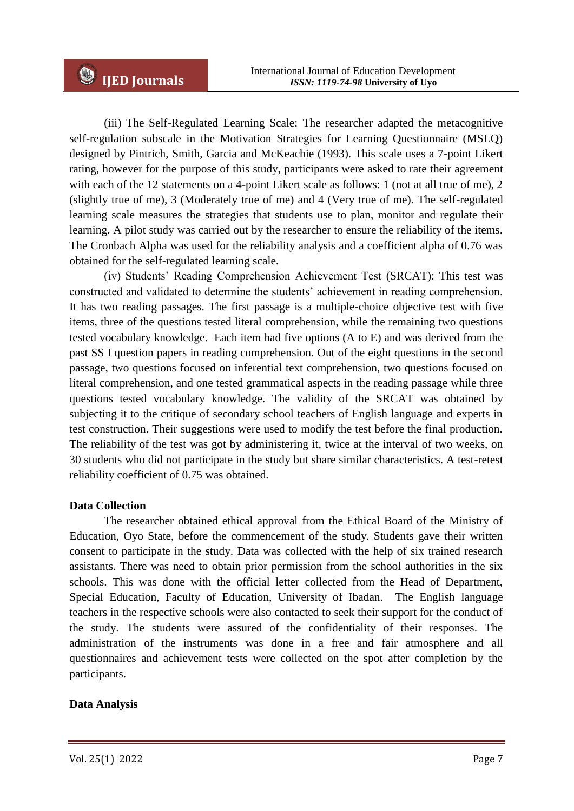(iii) The Self-Regulated Learning Scale: The researcher adapted the metacognitive self-regulation subscale in the Motivation Strategies for Learning Questionnaire (MSLQ) designed by Pintrich, Smith, Garcia and McKeachie (1993). This scale uses a 7-point Likert rating, however for the purpose of this study, participants were asked to rate their agreement with each of the 12 statements on a 4-point Likert scale as follows: 1 (not at all true of me), 2 (slightly true of me), 3 (Moderately true of me) and 4 (Very true of me). The self-regulated learning scale measures the strategies that students use to plan, monitor and regulate their learning. A pilot study was carried out by the researcher to ensure the reliability of the items. The Cronbach Alpha was used for the reliability analysis and a coefficient alpha of 0.76 was obtained for the self-regulated learning scale.

(iv) Students' Reading Comprehension Achievement Test (SRCAT): This test was constructed and validated to determine the students' achievement in reading comprehension. It has two reading passages. The first passage is a multiple-choice objective test with five items, three of the questions tested literal comprehension, while the remaining two questions tested vocabulary knowledge. Each item had five options (A to E) and was derived from the past SS I question papers in reading comprehension. Out of the eight questions in the second passage, two questions focused on inferential text comprehension, two questions focused on literal comprehension, and one tested grammatical aspects in the reading passage while three questions tested vocabulary knowledge. The validity of the SRCAT was obtained by subjecting it to the critique of secondary school teachers of English language and experts in test construction. Their suggestions were used to modify the test before the final production. The reliability of the test was got by administering it, twice at the interval of two weeks, on 30 students who did not participate in the study but share similar characteristics. A test-retest reliability coefficient of 0.75 was obtained.

### **Data Collection**

The researcher obtained ethical approval from the Ethical Board of the Ministry of Education, Oyo State, before the commencement of the study. Students gave their written consent to participate in the study. Data was collected with the help of six trained research assistants. There was need to obtain prior permission from the school authorities in the six schools. This was done with the official letter collected from the Head of Department, Special Education, Faculty of Education, University of Ibadan. The English language teachers in the respective schools were also contacted to seek their support for the conduct of the study. The students were assured of the confidentiality of their responses. The administration of the instruments was done in a free and fair atmosphere and all questionnaires and achievement tests were collected on the spot after completion by the participants.

#### **Data Analysis**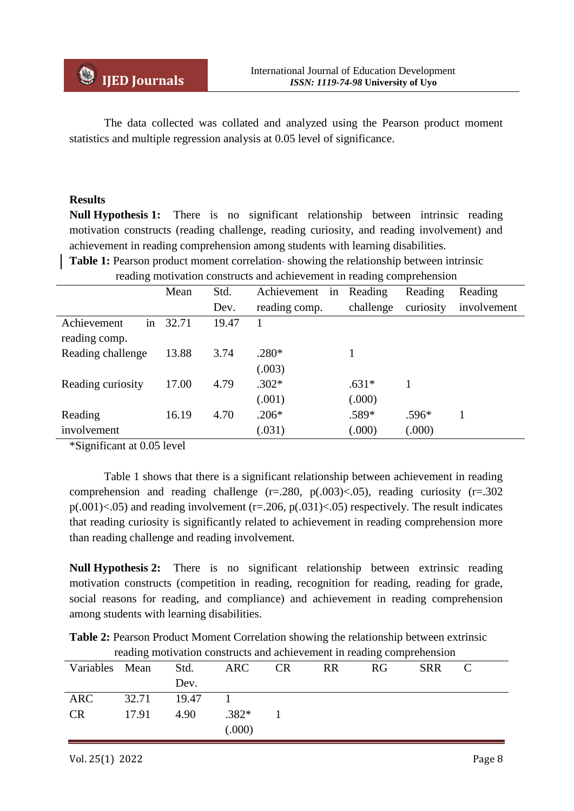The data collected was collated and analyzed using the Pearson product moment statistics and multiple regression analysis at 0.05 level of significance.

## **Results**

**Null Hypothesis 1:** There is no significant relationship between intrinsic reading motivation constructs (reading challenge, reading curiosity, and reading involvement) and achievement in reading comprehension among students with learning disabilities.

**Table 1:** Pearson product moment correlation-showing the relationship between intrinsic

| reading motivation constructs and achievement in reading comprehension |       |         |               |           |           |             |  |  |  |
|------------------------------------------------------------------------|-------|---------|---------------|-----------|-----------|-------------|--|--|--|
|                                                                        | Mean  | Reading | Reading       | Reading   |           |             |  |  |  |
|                                                                        |       | Dev.    | reading comp. | challenge | curiosity | involvement |  |  |  |
| in<br>Achievement                                                      | 32.71 | 19.47   |               |           |           |             |  |  |  |
| reading comp.                                                          |       |         |               |           |           |             |  |  |  |
| Reading challenge                                                      | 13.88 | 3.74    | $.280*$       |           |           |             |  |  |  |
|                                                                        |       |         | (.003)        |           |           |             |  |  |  |
| Reading curiosity                                                      | 17.00 | 4.79    | $.302*$       | $.631*$   | 1         |             |  |  |  |
|                                                                        |       |         | (.001)        | (.000)    |           |             |  |  |  |
| Reading                                                                | 16.19 | 4.70    | $.206*$       | .589*     | $.596*$   |             |  |  |  |
| involvement                                                            |       |         | (.031)        | (.000)    | (.000)    |             |  |  |  |

\*Significant at 0.05 level

Table 1 shows that there is a significant relationship between achievement in reading comprehension and reading challenge  $(r=.280, p(.003) < .05)$ , reading curiosity  $(r=.302)$  $p(.001)$  <.05) and reading involvement (r=.206,  $p(.031)$  <.05) respectively. The result indicates that reading curiosity is significantly related to achievement in reading comprehension more than reading challenge and reading involvement.

**Null Hypothesis 2:** There is no significant relationship between extrinsic reading motivation constructs (competition in reading, recognition for reading, reading for grade, social reasons for reading, and compliance) and achievement in reading comprehension among students with learning disabilities.

**Table 2:** Pearson Product Moment Correlation showing the relationship between extrinsic reading motivation constructs and achievement in reading comprehension

| Variables Mean Std. |             |      | ARC CR  | <b>RR</b> | RG | <b>SRR</b> | C |
|---------------------|-------------|------|---------|-----------|----|------------|---|
|                     |             | Dev. |         |           |    |            |   |
| <b>ARC</b>          | 32.71 19.47 |      |         |           |    |            |   |
| CR.                 | 17.91       | 4.90 | $.382*$ |           |    |            |   |
|                     |             |      | (000)   |           |    |            |   |
|                     |             |      |         |           |    |            |   |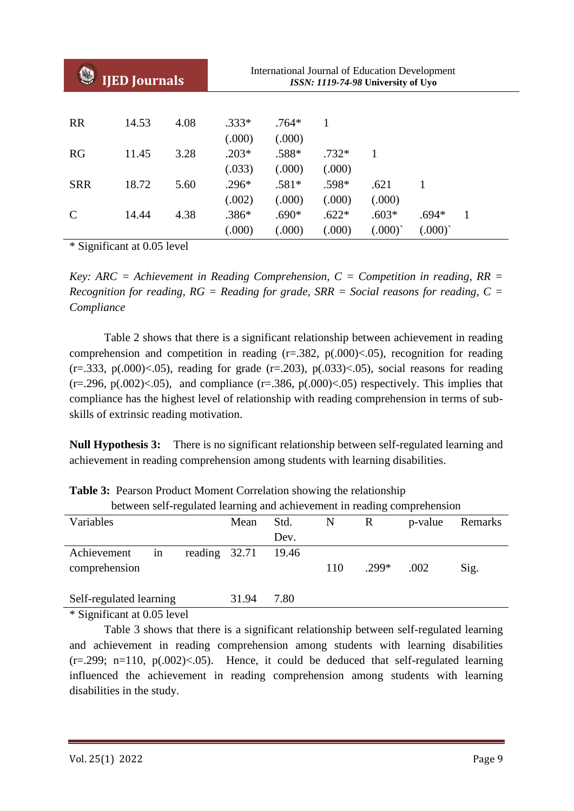| <b>IJED Journals</b> |       |      | <b>International Journal of Education Development</b><br>ISSN: 1119-74-98 University of Uyo |         |         |         |         |   |  |
|----------------------|-------|------|---------------------------------------------------------------------------------------------|---------|---------|---------|---------|---|--|
|                      |       |      |                                                                                             |         |         |         |         |   |  |
| <b>RR</b>            | 14.53 | 4.08 | $.333*$                                                                                     | $.764*$ | 1       |         |         |   |  |
|                      |       |      | (.000)                                                                                      | (.000)  |         |         |         |   |  |
| <b>RG</b>            | 11.45 | 3.28 | $.203*$                                                                                     | .588*   | $.732*$ | 1       |         |   |  |
|                      |       |      | (.033)                                                                                      | (.000)  | (000)   |         |         |   |  |
| <b>SRR</b>           | 18.72 | 5.60 | $.296*$                                                                                     | $.581*$ | .598*   | .621    |         |   |  |
|                      |       |      | (.002)                                                                                      | (.000)  | (.000)  | (.000)  |         |   |  |
| $\mathbf C$          | 14.44 | 4.38 | $.386*$                                                                                     | $.690*$ | $.622*$ | $.603*$ | $.694*$ | 1 |  |
|                      |       |      | (000)                                                                                       | (.000)  | (000)   | (.000)  | (.000)  |   |  |

\* Significant at 0.05 level

*Key: ARC = Achievement in Reading Comprehension, C = Competition in reading, RR = Recognition for reading, RG = Reading for grade, SRR = Social reasons for reading, C = Compliance*

Table 2 shows that there is a significant relationship between achievement in reading comprehension and competition in reading  $(r=.382, p(.000) < .05)$ , recognition for reading  $(r=.333, p(.000) < .05)$ , reading for grade  $(r=.203)$ ,  $p(.033) < .05)$ , social reasons for reading  $(r=.296, p(.002) < .05)$ , and compliance  $(r=.386, p(.000) < .05)$  respectively. This implies that compliance has the highest level of relationship with reading comprehension in terms of subskills of extrinsic reading motivation.

**Null Hypothesis 3:** There is no significant relationship between self-regulated learning and achievement in reading comprehension among students with learning disabilities.

| between self-regulated learning and achievement in reading comprehension |                             |               |       |       |     |             |         |         |  |
|--------------------------------------------------------------------------|-----------------------------|---------------|-------|-------|-----|-------------|---------|---------|--|
| Variables                                                                |                             |               | Mean  | Std.  | N   | $\mathbf R$ | p-value | Remarks |  |
|                                                                          |                             |               |       | Dev.  |     |             |         |         |  |
| Achievement                                                              | 1n                          | reading 32.71 |       | 19.46 |     |             |         |         |  |
| comprehension                                                            |                             |               |       |       | 110 | .299*       | .002    | Sig.    |  |
| Self-regulated learning                                                  |                             |               | 31.94 | 7.80  |     |             |         |         |  |
|                                                                          | * Significant at 0.05 level |               |       |       |     |             |         |         |  |

**Table 3:** Pearson Product Moment Correlation showing the relationship

\* Significant at 0.05 level

Table 3 shows that there is a significant relationship between self-regulated learning and achievement in reading comprehension among students with learning disabilities  $(r=.299; n=110, p(.002) < .05)$ . Hence, it could be deduced that self-regulated learning influenced the achievement in reading comprehension among students with learning disabilities in the study.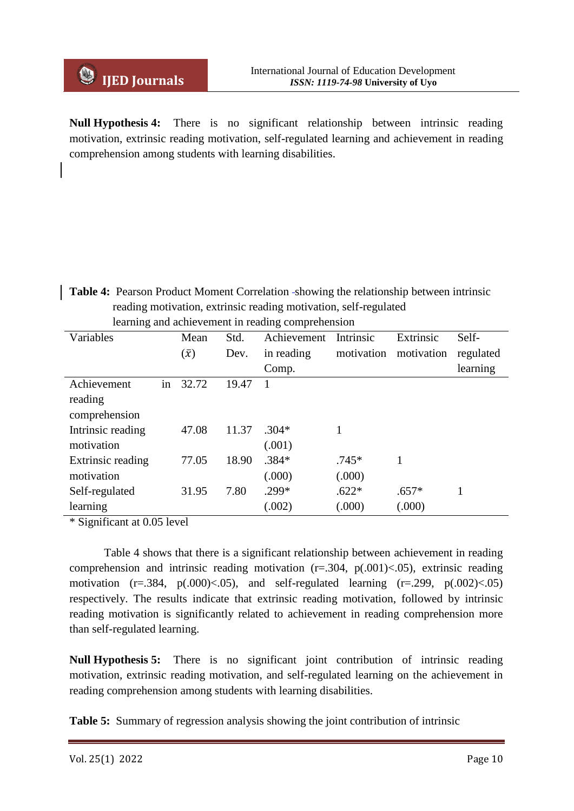**Null Hypothesis 4:** There is no significant relationship between intrinsic reading motivation, extrinsic reading motivation, self-regulated learning and achievement in reading comprehension among students with learning disabilities.

**Table 4:** Pearson Product Moment Correlation showing the relationship between intrinsic reading motivation, extrinsic reading motivation, self-regulated learning and achievement in reading comprehension

| Variables         |    | Mean        | Std.  | Achievement | Intrinsic  | Extrinsic  | Self-     |
|-------------------|----|-------------|-------|-------------|------------|------------|-----------|
|                   |    | $(\bar{x})$ | Dev.  | in reading  | motivation | motivation | regulated |
|                   |    |             |       | Comp.       |            |            | learning  |
| Achievement       | in | 32.72       | 19.47 |             |            |            |           |
| reading           |    |             |       |             |            |            |           |
| comprehension     |    |             |       |             |            |            |           |
| Intrinsic reading |    | 47.08       | 11.37 | $.304*$     |            |            |           |
| motivation        |    |             |       | (.001)      |            |            |           |
| Extrinsic reading |    | 77.05       | 18.90 | $.384*$     | $.745*$    |            |           |
| motivation        |    |             |       | (.000)      | (.000)     |            |           |
| Self-regulated    |    | 31.95       | 7.80  | .299*       | $.622*$    | $.657*$    | 1         |
| learning          |    |             |       | (.002)      | (0.000)    | (000)      |           |

\* Significant at 0.05 level

Table 4 shows that there is a significant relationship between achievement in reading comprehension and intrinsic reading motivation  $(r=.304, p(.001) < .05)$ , extrinsic reading motivation  $(r=.384, p(.000) < .05)$ , and self-regulated learning  $(r=.299, p(.002) < .05)$ respectively. The results indicate that extrinsic reading motivation, followed by intrinsic reading motivation is significantly related to achievement in reading comprehension more than self-regulated learning.

**Null Hypothesis 5:** There is no significant joint contribution of intrinsic reading motivation, extrinsic reading motivation, and self-regulated learning on the achievement in reading comprehension among students with learning disabilities.

**Table 5:** Summary of regression analysis showing the joint contribution of intrinsic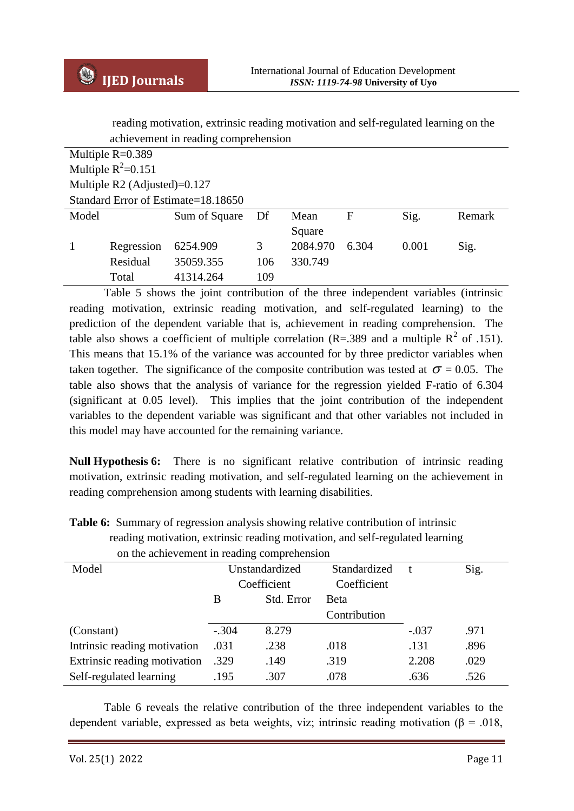reading motivation, extrinsic reading motivation and self-regulated learning on the

| reading motivation, extrinsic reading motivation and self-regulated learning on the |                                      |                                     |     |          |       |       |        |  |  |
|-------------------------------------------------------------------------------------|--------------------------------------|-------------------------------------|-----|----------|-------|-------|--------|--|--|
|                                                                                     | achievement in reading comprehension |                                     |     |          |       |       |        |  |  |
|                                                                                     | Multiple $R=0.389$                   |                                     |     |          |       |       |        |  |  |
|                                                                                     | Multiple $R^2=0.151$                 |                                     |     |          |       |       |        |  |  |
|                                                                                     | Multiple $R2$ (Adjusted)=0.127       |                                     |     |          |       |       |        |  |  |
|                                                                                     |                                      | Standard Error of Estimate=18.18650 |     |          |       |       |        |  |  |
| Model                                                                               |                                      | Sum of Square                       | Df  | Mean     | F     | Sig.  | Remark |  |  |
|                                                                                     |                                      |                                     |     | Square   |       |       |        |  |  |
| $\mathbf{1}$                                                                        | Regression                           | 6254.909                            | 3   | 2084.970 | 6.304 | 0.001 | Sig.   |  |  |
|                                                                                     | Residual                             | 35059.355                           | 106 | 330.749  |       |       |        |  |  |
|                                                                                     | Total                                | 41314.264                           | 109 |          |       |       |        |  |  |

Table 5 shows the joint contribution of the three independent variables (intrinsic reading motivation, extrinsic reading motivation, and self-regulated learning) to the prediction of the dependent variable that is, achievement in reading comprehension. The table also shows a coefficient of multiple correlation (R=.389 and a multiple  $R^2$  of .151). This means that 15.1% of the variance was accounted for by three predictor variables when taken together. The significance of the composite contribution was tested at  $\sigma = 0.05$ . The table also shows that the analysis of variance for the regression yielded F-ratio of 6.304 (significant at 0.05 level). This implies that the joint contribution of the independent variables to the dependent variable was significant and that other variables not included in this model may have accounted for the remaining variance.

**Null Hypothesis 6:** There is no significant relative contribution of intrinsic reading motivation, extrinsic reading motivation, and self-regulated learning on the achievement in reading comprehension among students with learning disabilities.

| Model                        | Unstandardized  |       | Standardized | t       | Sig. |  |  |  |  |
|------------------------------|-----------------|-------|--------------|---------|------|--|--|--|--|
|                              | Coefficient     |       | Coefficient  |         |      |  |  |  |  |
|                              | Std. Error<br>B |       | <b>Beta</b>  |         |      |  |  |  |  |
|                              |                 |       | Contribution |         |      |  |  |  |  |
| (Constant)                   | $-.304$         | 8.279 |              | $-.037$ | .971 |  |  |  |  |
| Intrinsic reading motivation | .031            | .238  | .018         | .131    | .896 |  |  |  |  |
| Extrinsic reading motivation | .329            | .149  | .319         | 2.208   | .029 |  |  |  |  |
| Self-regulated learning      | .195            | .307  | .078         | .636    | .526 |  |  |  |  |

**Table 6:** Summary of regression analysis showing relative contribution of intrinsic reading motivation, extrinsic reading motivation, and self-regulated learning on the achievement in reading comprehension

Table 6 reveals the relative contribution of the three independent variables to the dependent variable, expressed as beta weights, viz; intrinsic reading motivation ( $\beta$  = .018,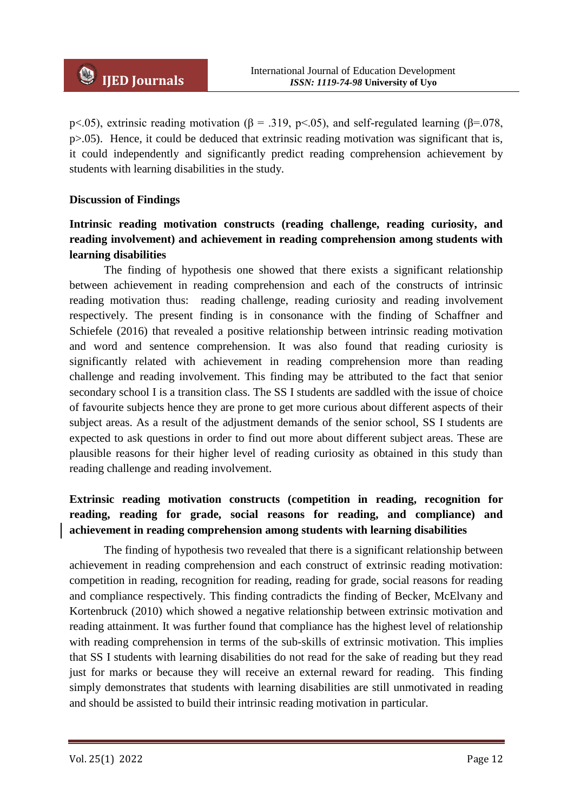p<.05), extrinsic reading motivation ( $\beta$  = .319, p<.05), and self-regulated learning ( $\beta$ =.078, p>.05). Hence, it could be deduced that extrinsic reading motivation was significant that is, it could independently and significantly predict reading comprehension achievement by students with learning disabilities in the study.

#### **Discussion of Findings**

# **Intrinsic reading motivation constructs (reading challenge, reading curiosity, and reading involvement) and achievement in reading comprehension among students with learning disabilities**

The finding of hypothesis one showed that there exists a significant relationship between achievement in reading comprehension and each of the constructs of intrinsic reading motivation thus: reading challenge, reading curiosity and reading involvement respectively. The present finding is in consonance with the finding of Schaffner and Schiefele (2016) that revealed a positive relationship between intrinsic reading motivation and word and sentence comprehension. It was also found that reading curiosity is significantly related with achievement in reading comprehension more than reading challenge and reading involvement. This finding may be attributed to the fact that senior secondary school I is a transition class. The SS I students are saddled with the issue of choice of favourite subjects hence they are prone to get more curious about different aspects of their subject areas. As a result of the adjustment demands of the senior school, SS I students are expected to ask questions in order to find out more about different subject areas. These are plausible reasons for their higher level of reading curiosity as obtained in this study than reading challenge and reading involvement.

# **Extrinsic reading motivation constructs (competition in reading, recognition for reading, reading for grade, social reasons for reading, and compliance) and achievement in reading comprehension among students with learning disabilities**

The finding of hypothesis two revealed that there is a significant relationship between achievement in reading comprehension and each construct of extrinsic reading motivation: competition in reading, recognition for reading, reading for grade, social reasons for reading and compliance respectively. This finding contradicts the finding of Becker, McElvany and Kortenbruck (2010) which showed a negative relationship between extrinsic motivation and reading attainment. It was further found that compliance has the highest level of relationship with reading comprehension in terms of the sub-skills of extrinsic motivation. This implies that SS I students with learning disabilities do not read for the sake of reading but they read just for marks or because they will receive an external reward for reading. This finding simply demonstrates that students with learning disabilities are still unmotivated in reading and should be assisted to build their intrinsic reading motivation in particular.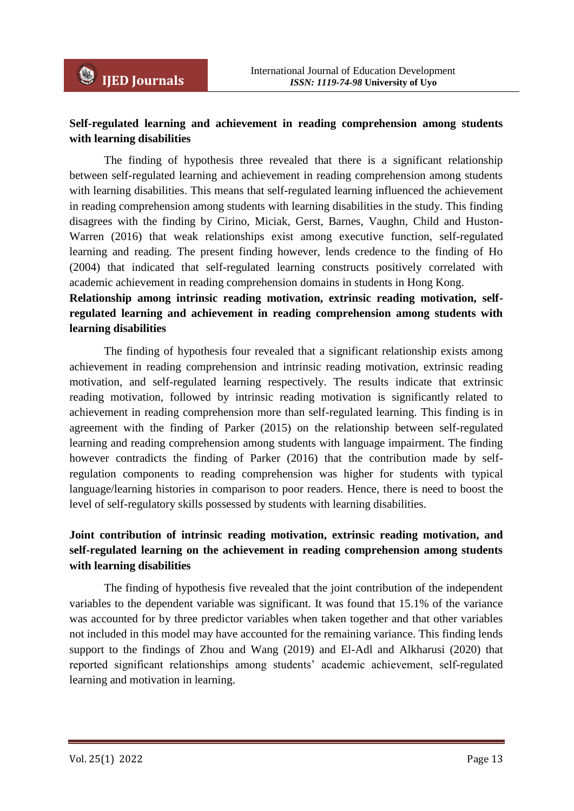## **Self-regulated learning and achievement in reading comprehension among students with learning disabilities**

The finding of hypothesis three revealed that there is a significant relationship between self-regulated learning and achievement in reading comprehension among students with learning disabilities. This means that self-regulated learning influenced the achievement in reading comprehension among students with learning disabilities in the study. This finding disagrees with the finding by Cirino, Miciak, Gerst, Barnes, Vaughn, Child and Huston-Warren (2016) that weak relationships exist among executive function, self-regulated learning and reading. The present finding however, lends credence to the finding of Ho (2004) that indicated that self-regulated learning constructs positively correlated with academic achievement in reading comprehension domains in students in Hong Kong.

# **Relationship among intrinsic reading motivation, extrinsic reading motivation, selfregulated learning and achievement in reading comprehension among students with learning disabilities**

The finding of hypothesis four revealed that a significant relationship exists among achievement in reading comprehension and intrinsic reading motivation, extrinsic reading motivation, and self-regulated learning respectively. The results indicate that extrinsic reading motivation, followed by intrinsic reading motivation is significantly related to achievement in reading comprehension more than self-regulated learning. This finding is in agreement with the finding of Parker (2015) on the relationship between self-regulated learning and reading comprehension among students with language impairment. The finding however contradicts the finding of Parker (2016) that the contribution made by selfregulation components to reading comprehension was higher for students with typical language/learning histories in comparison to poor readers. Hence, there is need to boost the level of self-regulatory skills possessed by students with learning disabilities.

# **Joint contribution of intrinsic reading motivation, extrinsic reading motivation, and self-regulated learning on the achievement in reading comprehension among students with learning disabilities**

The finding of hypothesis five revealed that the joint contribution of the independent variables to the dependent variable was significant. It was found that 15.1% of the variance was accounted for by three predictor variables when taken together and that other variables not included in this model may have accounted for the remaining variance. This finding lends support to the findings of Zhou and Wang (2019) and El-Adl and Alkharusi (2020) that reported significant relationships among students' academic achievement, self-regulated learning and motivation in learning.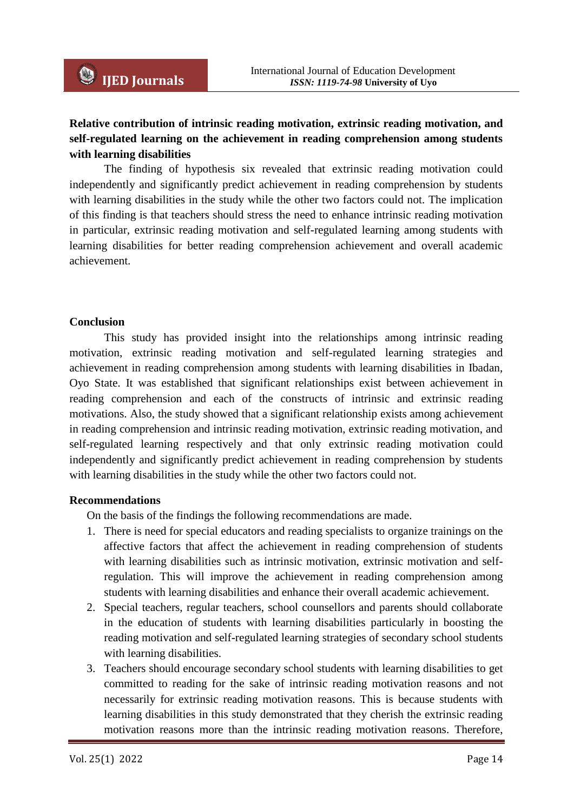# **Relative contribution of intrinsic reading motivation, extrinsic reading motivation, and self-regulated learning on the achievement in reading comprehension among students with learning disabilities**

The finding of hypothesis six revealed that extrinsic reading motivation could independently and significantly predict achievement in reading comprehension by students with learning disabilities in the study while the other two factors could not. The implication of this finding is that teachers should stress the need to enhance intrinsic reading motivation in particular, extrinsic reading motivation and self-regulated learning among students with learning disabilities for better reading comprehension achievement and overall academic achievement.

### **Conclusion**

This study has provided insight into the relationships among intrinsic reading motivation, extrinsic reading motivation and self-regulated learning strategies and achievement in reading comprehension among students with learning disabilities in Ibadan, Oyo State. It was established that significant relationships exist between achievement in reading comprehension and each of the constructs of intrinsic and extrinsic reading motivations. Also, the study showed that a significant relationship exists among achievement in reading comprehension and intrinsic reading motivation, extrinsic reading motivation, and self-regulated learning respectively and that only extrinsic reading motivation could independently and significantly predict achievement in reading comprehension by students with learning disabilities in the study while the other two factors could not.

#### **Recommendations**

On the basis of the findings the following recommendations are made.

- 1. There is need for special educators and reading specialists to organize trainings on the affective factors that affect the achievement in reading comprehension of students with learning disabilities such as intrinsic motivation, extrinsic motivation and selfregulation. This will improve the achievement in reading comprehension among students with learning disabilities and enhance their overall academic achievement.
- 2. Special teachers, regular teachers, school counsellors and parents should collaborate in the education of students with learning disabilities particularly in boosting the reading motivation and self-regulated learning strategies of secondary school students with learning disabilities.
- 3. Teachers should encourage secondary school students with learning disabilities to get committed to reading for the sake of intrinsic reading motivation reasons and not necessarily for extrinsic reading motivation reasons. This is because students with learning disabilities in this study demonstrated that they cherish the extrinsic reading motivation reasons more than the intrinsic reading motivation reasons. Therefore,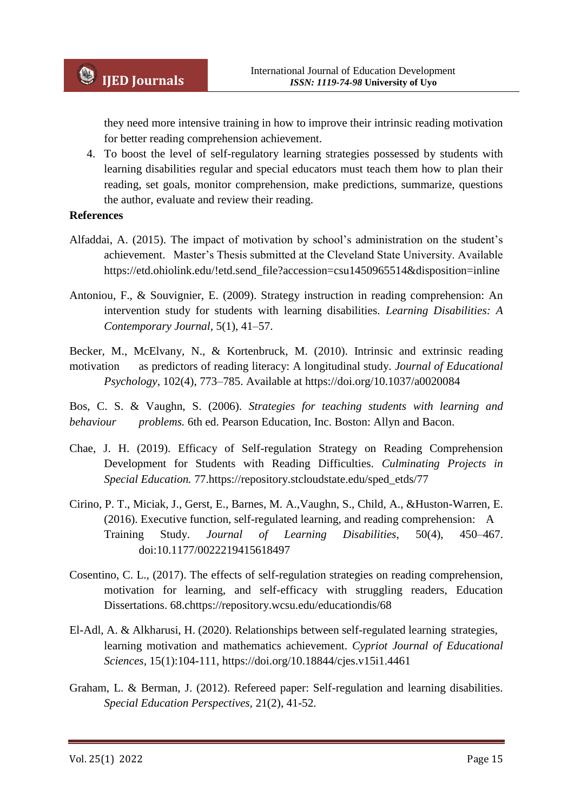they need more intensive training in how to improve their intrinsic reading motivation for better reading comprehension achievement.

4. To boost the level of self-regulatory learning strategies possessed by students with learning disabilities regular and special educators must teach them how to plan their reading, set goals, monitor comprehension, make predictions, summarize, questions the author, evaluate and review their reading.

#### **References**

- Alfaddai, A. (2015). The impact of motivation by school's administration on the student's achievement. Master's Thesis submitted at the Cleveland State University. Available https://etd.ohiolink.edu/!etd.send\_file?accession=csu1450965514&disposition=inline
- Antoniou, F., & Souvignier, E. (2009). Strategy instruction in reading comprehension: An intervention study for students with learning disabilities. *Learning Disabilities: A Contemporary Journal,* 5(1), 41–57.
- Becker, M., McElvany, N., & Kortenbruck, M. (2010). Intrinsic and extrinsic reading motivation as predictors of reading literacy: A longitudinal study. *Journal of Educational Psychology,* 102(4), 773–785. Available at https://doi.org/10.1037/a0020084

Bos, C. S. & Vaughn, S. (2006). *Strategies for teaching students with learning and behaviour problems.* 6th ed. Pearson Education, Inc. Boston: Allyn and Bacon.

- Chae, J. H. (2019). Efficacy of Self-regulation Strategy on Reading Comprehension Development for Students with Reading Difficulties. *Culminating Projects in Special Education.* 77.https://repository.stcloudstate.edu/sped\_etds/77
- Cirino, P. T., Miciak, J., Gerst, E., Barnes, M. A.,Vaughn, S., Child, A., &Huston-Warren, E. (2016). Executive function, self-regulated learning, and reading comprehension: A Training Study. *Journal of Learning Disabilities,* 50(4), 450–467. doi:10.1177/0022219415618497
- Cosentino, C. L., (2017). The effects of self-regulation strategies on reading comprehension, motivation for learning, and self-efficacy with struggling readers, Education Dissertations. 68.chttps://repository.wcsu.edu/educationdis/68
- El-Adl, A. & Alkharusi, H. (2020). Relationships between self-regulated learning strategies, learning motivation and mathematics achievement. *Cypriot Journal of Educational Sciences,* 15(1):104-111, https://doi.org/10.18844/cjes.v15i1.4461
- Graham, L. & Berman, J. (2012). Refereed paper: Self-regulation and learning disabilities. *Special Education Perspectives,* 21(2), 41-52.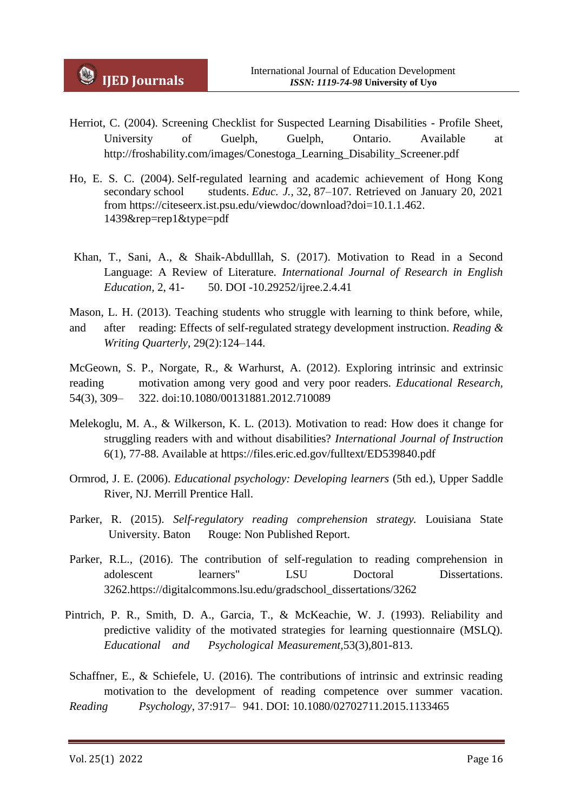- Herriot, C. (2004). Screening Checklist for Suspected Learning Disabilities Profile Sheet, University of Guelph, Guelph, Ontario. Available at http://froshability.com/images/Conestoga\_Learning\_Disability\_Screener.pdf
- Ho, E. S. C. (2004). Self-regulated learning and academic achievement of Hong Kong secondary school students. *Educ. J.,* 32, 87–107. Retrieved on January 20, 2021 from https://citeseerx.ist.psu.edu/viewdoc/download?doi=10.1.1.462. 1439&rep=rep1&type=pdf
- Khan, T., Sani, A., & Shaik-Abdulllah, S. (2017). Motivation to Read in a Second Language: A Review of Literature. *International Journal of Research in English Education,* 2, 41- 50. DOI -10.29252/ijree.2.4.41
- Mason, L. H. (2013). Teaching students who struggle with learning to think before, while, and after reading: Effects of self-regulated strategy development instruction. *Reading & Writing Quarterly,* 29(2):124–144.

McGeown, S. P., Norgate, R., & Warhurst, A. (2012). Exploring intrinsic and extrinsic reading motivation among very good and very poor readers. *Educational Research,* 54(3), 309– 322. doi:10.1080/00131881.2012.710089

- Melekoglu, M. A., & Wilkerson, K. L. (2013). Motivation to read: How does it change for struggling readers with and without disabilities? *International Journal of Instruction*  6(1), 77-88. Available at https://files.eric.ed.gov/fulltext/ED539840.pdf
- Ormrod, J. E. (2006). *Educational psychology: Developing learners* (5th ed.), Upper Saddle River, NJ. Merrill Prentice Hall.
- Parker, R. (2015). *Self-regulatory reading comprehension strategy.* Louisiana State University. Baton Rouge: Non Published Report.
- Parker, R.L., (2016). The contribution of self-regulation to reading comprehension in adolescent learners" LSU Doctoral Dissertations. 3262.https://digitalcommons.lsu.edu/gradschool\_dissertations/3262
- Pintrich, P. R., Smith, D. A., Garcia, T., & McKeachie, W. J. (1993). Reliability and predictive validity of the motivated strategies for learning questionnaire (MSLQ). *Educational and Psychological Measurement,*53(3),801-813.
- Schaffner, E., & Schiefele, U. (2016). The contributions of intrinsic and extrinsic reading motivation to the development of reading competence over summer vacation. *Reading Psychology*, 37:917– 941. DOI: 10.1080/02702711.2015.1133465